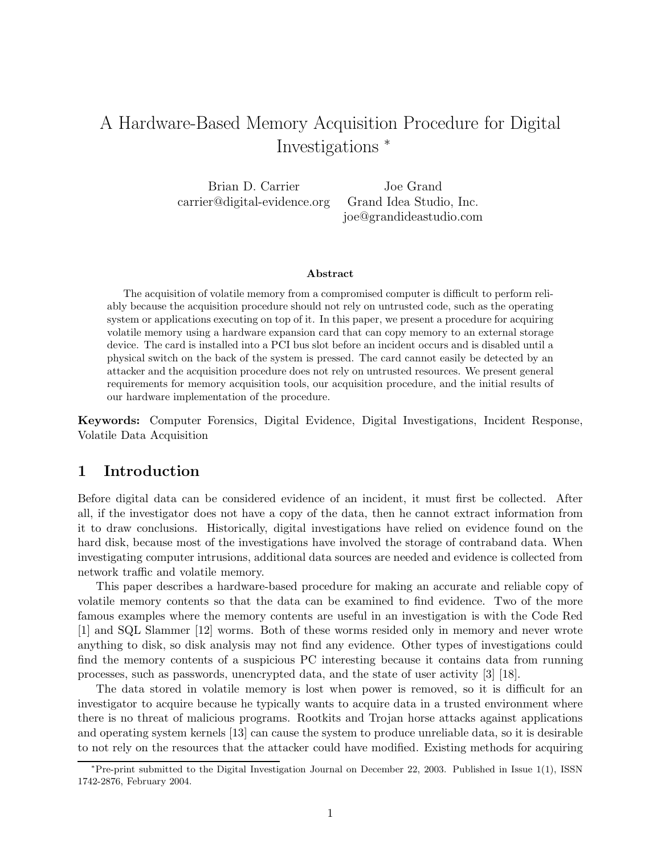# A Hardware-Based Memory Acquisition Procedure for Digital Investigations <sup>∗</sup>

Brian D. Carrier Joe Grand carrier@digital-evidence.org Grand Idea Studio, Inc. joe@grandideastudio.com

#### Abstract

The acquisition of volatile memory from a compromised computer is difficult to perform reliably because the acquisition procedure should not rely on untrusted code, such as the operating system or applications executing on top of it. In this paper, we present a procedure for acquiring volatile memory using a hardware expansion card that can copy memory to an external storage device. The card is installed into a PCI bus slot before an incident occurs and is disabled until a physical switch on the back of the system is pressed. The card cannot easily be detected by an attacker and the acquisition procedure does not rely on untrusted resources. We present general requirements for memory acquisition tools, our acquisition procedure, and the initial results of our hardware implementation of the procedure.

Keywords: Computer Forensics, Digital Evidence, Digital Investigations, Incident Response, Volatile Data Acquisition

# 1 Introduction

Before digital data can be considered evidence of an incident, it must first be collected. After all, if the investigator does not have a copy of the data, then he cannot extract information from it to draw conclusions. Historically, digital investigations have relied on evidence found on the hard disk, because most of the investigations have involved the storage of contraband data. When investigating computer intrusions, additional data sources are needed and evidence is collected from network traffic and volatile memory.

This paper describes a hardware-based procedure for making an accurate and reliable copy of volatile memory contents so that the data can be examined to find evidence. Two of the more famous examples where the memory contents are useful in an investigation is with the Code Red [1] and SQL Slammer [12] worms. Both of these worms resided only in memory and never wrote anything to disk, so disk analysis may not find any evidence. Other types of investigations could find the memory contents of a suspicious PC interesting because it contains data from running processes, such as passwords, unencrypted data, and the state of user activity [3] [18].

The data stored in volatile memory is lost when power is removed, so it is difficult for an investigator to acquire because he typically wants to acquire data in a trusted environment where there is no threat of malicious programs. Rootkits and Trojan horse attacks against applications and operating system kernels [13] can cause the system to produce unreliable data, so it is desirable to not rely on the resources that the attacker could have modified. Existing methods for acquiring

<sup>∗</sup>Pre-print submitted to the Digital Investigation Journal on December 22, 2003. Published in Issue 1(1), ISSN 1742-2876, February 2004.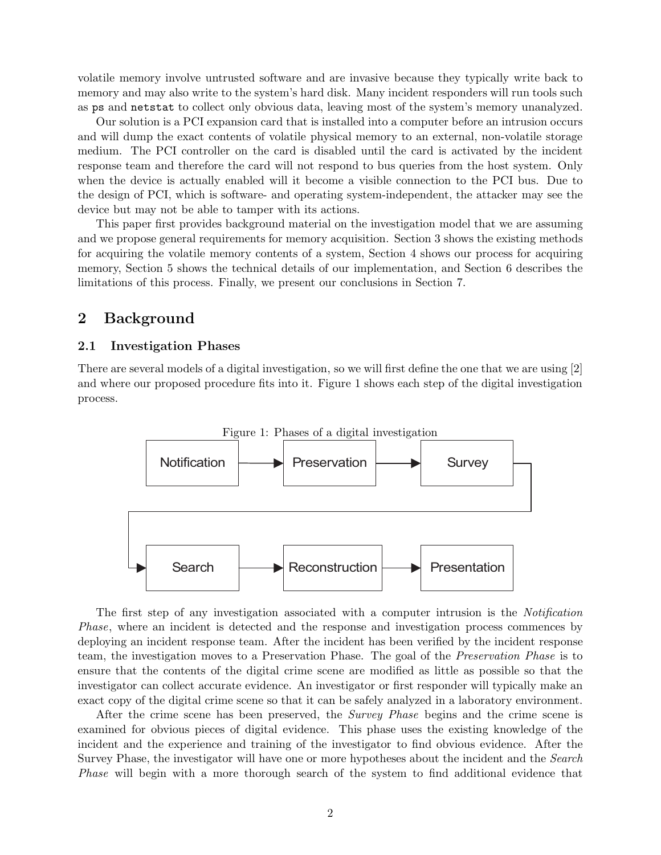volatile memory involve untrusted software and are invasive because they typically write back to memory and may also write to the system's hard disk. Many incident responders will run tools such as ps and netstat to collect only obvious data, leaving most of the system's memory unanalyzed.

Our solution is a PCI expansion card that is installed into a computer before an intrusion occurs and will dump the exact contents of volatile physical memory to an external, non-volatile storage medium. The PCI controller on the card is disabled until the card is activated by the incident response team and therefore the card will not respond to bus queries from the host system. Only when the device is actually enabled will it become a visible connection to the PCI bus. Due to the design of PCI, which is software- and operating system-independent, the attacker may see the device but may not be able to tamper with its actions.

This paper first provides background material on the investigation model that we are assuming and we propose general requirements for memory acquisition. Section 3 shows the existing methods for acquiring the volatile memory contents of a system, Section 4 shows our process for acquiring memory, Section 5 shows the technical details of our implementation, and Section 6 describes the limitations of this process. Finally, we present our conclusions in Section 7.

## 2 Background

#### 2.1 Investigation Phases

There are several models of a digital investigation, so we will first define the one that we are using [2] and where our proposed procedure fits into it. Figure 1 shows each step of the digital investigation process.



The first step of any investigation associated with a computer intrusion is the Notification Phase, where an incident is detected and the response and investigation process commences by deploying an incident response team. After the incident has been verified by the incident response team, the investigation moves to a Preservation Phase. The goal of the Preservation Phase is to ensure that the contents of the digital crime scene are modified as little as possible so that the investigator can collect accurate evidence. An investigator or first responder will typically make an exact copy of the digital crime scene so that it can be safely analyzed in a laboratory environment.

After the crime scene has been preserved, the *Survey Phase* begins and the crime scene is examined for obvious pieces of digital evidence. This phase uses the existing knowledge of the incident and the experience and training of the investigator to find obvious evidence. After the Survey Phase, the investigator will have one or more hypotheses about the incident and the Search Phase will begin with a more thorough search of the system to find additional evidence that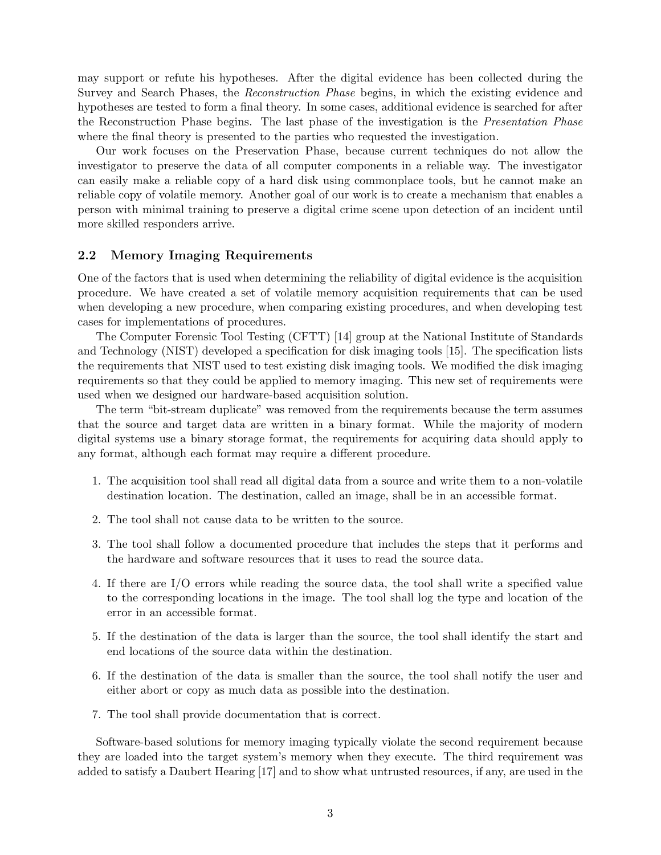may support or refute his hypotheses. After the digital evidence has been collected during the Survey and Search Phases, the Reconstruction Phase begins, in which the existing evidence and hypotheses are tested to form a final theory. In some cases, additional evidence is searched for after the Reconstruction Phase begins. The last phase of the investigation is the Presentation Phase where the final theory is presented to the parties who requested the investigation.

Our work focuses on the Preservation Phase, because current techniques do not allow the investigator to preserve the data of all computer components in a reliable way. The investigator can easily make a reliable copy of a hard disk using commonplace tools, but he cannot make an reliable copy of volatile memory. Another goal of our work is to create a mechanism that enables a person with minimal training to preserve a digital crime scene upon detection of an incident until more skilled responders arrive.

#### 2.2 Memory Imaging Requirements

One of the factors that is used when determining the reliability of digital evidence is the acquisition procedure. We have created a set of volatile memory acquisition requirements that can be used when developing a new procedure, when comparing existing procedures, and when developing test cases for implementations of procedures.

The Computer Forensic Tool Testing (CFTT) [14] group at the National Institute of Standards and Technology (NIST) developed a specification for disk imaging tools [15]. The specification lists the requirements that NIST used to test existing disk imaging tools. We modified the disk imaging requirements so that they could be applied to memory imaging. This new set of requirements were used when we designed our hardware-based acquisition solution.

The term "bit-stream duplicate" was removed from the requirements because the term assumes that the source and target data are written in a binary format. While the majority of modern digital systems use a binary storage format, the requirements for acquiring data should apply to any format, although each format may require a different procedure.

- 1. The acquisition tool shall read all digital data from a source and write them to a non-volatile destination location. The destination, called an image, shall be in an accessible format.
- 2. The tool shall not cause data to be written to the source.
- 3. The tool shall follow a documented procedure that includes the steps that it performs and the hardware and software resources that it uses to read the source data.
- 4. If there are I/O errors while reading the source data, the tool shall write a specified value to the corresponding locations in the image. The tool shall log the type and location of the error in an accessible format.
- 5. If the destination of the data is larger than the source, the tool shall identify the start and end locations of the source data within the destination.
- 6. If the destination of the data is smaller than the source, the tool shall notify the user and either abort or copy as much data as possible into the destination.
- 7. The tool shall provide documentation that is correct.

Software-based solutions for memory imaging typically violate the second requirement because they are loaded into the target system's memory when they execute. The third requirement was added to satisfy a Daubert Hearing [17] and to show what untrusted resources, if any, are used in the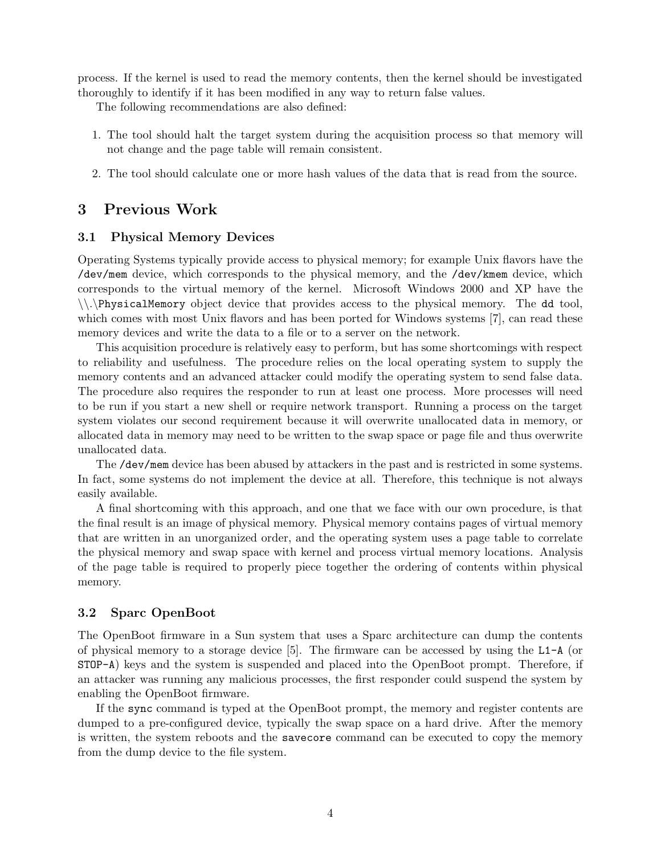process. If the kernel is used to read the memory contents, then the kernel should be investigated thoroughly to identify if it has been modified in any way to return false values.

The following recommendations are also defined:

- 1. The tool should halt the target system during the acquisition process so that memory will not change and the page table will remain consistent.
- 2. The tool should calculate one or more hash values of the data that is read from the source.

# 3 Previous Work

#### 3.1 Physical Memory Devices

Operating Systems typically provide access to physical memory; for example Unix flavors have the /dev/mem device, which corresponds to the physical memory, and the /dev/kmem device, which corresponds to the virtual memory of the kernel. Microsoft Windows 2000 and XP have the  $\setminus\setminus\$ PhysicalMemory object device that provides access to the physical memory. The dd tool, which comes with most Unix flavors and has been ported for Windows systems [7], can read these memory devices and write the data to a file or to a server on the network.

This acquisition procedure is relatively easy to perform, but has some shortcomings with respect to reliability and usefulness. The procedure relies on the local operating system to supply the memory contents and an advanced attacker could modify the operating system to send false data. The procedure also requires the responder to run at least one process. More processes will need to be run if you start a new shell or require network transport. Running a process on the target system violates our second requirement because it will overwrite unallocated data in memory, or allocated data in memory may need to be written to the swap space or page file and thus overwrite unallocated data.

The /dev/mem device has been abused by attackers in the past and is restricted in some systems. In fact, some systems do not implement the device at all. Therefore, this technique is not always easily available.

A final shortcoming with this approach, and one that we face with our own procedure, is that the final result is an image of physical memory. Physical memory contains pages of virtual memory that are written in an unorganized order, and the operating system uses a page table to correlate the physical memory and swap space with kernel and process virtual memory locations. Analysis of the page table is required to properly piece together the ordering of contents within physical memory.

#### 3.2 Sparc OpenBoot

The OpenBoot firmware in a Sun system that uses a Sparc architecture can dump the contents of physical memory to a storage device [5]. The firmware can be accessed by using the L1-A (or STOP-A) keys and the system is suspended and placed into the OpenBoot prompt. Therefore, if an attacker was running any malicious processes, the first responder could suspend the system by enabling the OpenBoot firmware.

If the sync command is typed at the OpenBoot prompt, the memory and register contents are dumped to a pre-configured device, typically the swap space on a hard drive. After the memory is written, the system reboots and the savecore command can be executed to copy the memory from the dump device to the file system.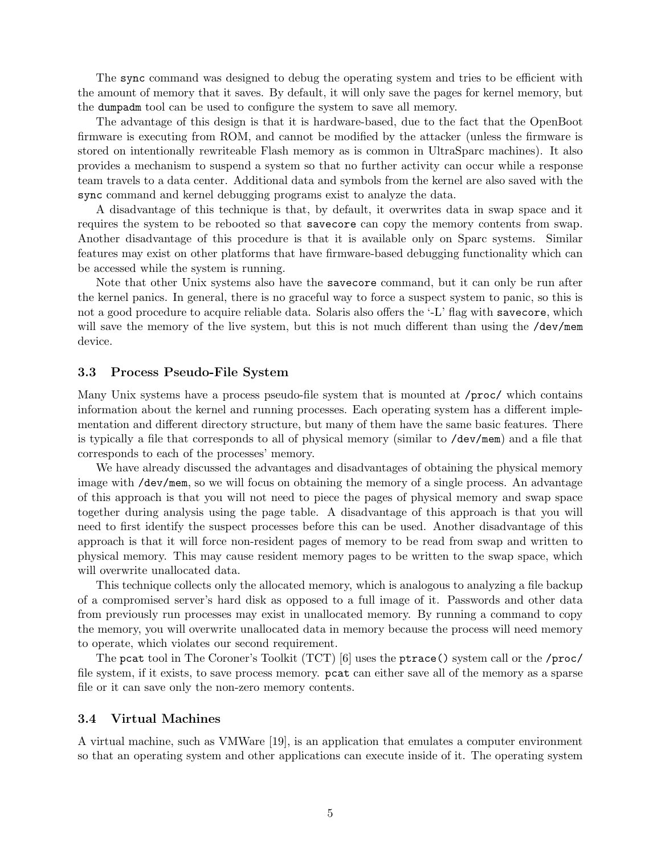The sync command was designed to debug the operating system and tries to be efficient with the amount of memory that it saves. By default, it will only save the pages for kernel memory, but the dumpadm tool can be used to configure the system to save all memory.

The advantage of this design is that it is hardware-based, due to the fact that the OpenBoot firmware is executing from ROM, and cannot be modified by the attacker (unless the firmware is stored on intentionally rewriteable Flash memory as is common in UltraSparc machines). It also provides a mechanism to suspend a system so that no further activity can occur while a response team travels to a data center. Additional data and symbols from the kernel are also saved with the sync command and kernel debugging programs exist to analyze the data.

A disadvantage of this technique is that, by default, it overwrites data in swap space and it requires the system to be rebooted so that savecore can copy the memory contents from swap. Another disadvantage of this procedure is that it is available only on Sparc systems. Similar features may exist on other platforms that have firmware-based debugging functionality which can be accessed while the system is running.

Note that other Unix systems also have the savecore command, but it can only be run after the kernel panics. In general, there is no graceful way to force a suspect system to panic, so this is not a good procedure to acquire reliable data. Solaris also offers the '-L' flag with savecore, which will save the memory of the live system, but this is not much different than using the /dev/mem device.

#### 3.3 Process Pseudo-File System

Many Unix systems have a process pseudo-file system that is mounted at /proc/ which contains information about the kernel and running processes. Each operating system has a different implementation and different directory structure, but many of them have the same basic features. There is typically a file that corresponds to all of physical memory (similar to /dev/mem) and a file that corresponds to each of the processes' memory.

We have already discussed the advantages and disadvantages of obtaining the physical memory image with /dev/mem, so we will focus on obtaining the memory of a single process. An advantage of this approach is that you will not need to piece the pages of physical memory and swap space together during analysis using the page table. A disadvantage of this approach is that you will need to first identify the suspect processes before this can be used. Another disadvantage of this approach is that it will force non-resident pages of memory to be read from swap and written to physical memory. This may cause resident memory pages to be written to the swap space, which will overwrite unallocated data.

This technique collects only the allocated memory, which is analogous to analyzing a file backup of a compromised server's hard disk as opposed to a full image of it. Passwords and other data from previously run processes may exist in unallocated memory. By running a command to copy the memory, you will overwrite unallocated data in memory because the process will need memory to operate, which violates our second requirement.

The pcat tool in The Coroner's Toolkit (TCT) [6] uses the ptrace() system call or the /proc/ file system, if it exists, to save process memory. pcat can either save all of the memory as a sparse file or it can save only the non-zero memory contents.

### 3.4 Virtual Machines

A virtual machine, such as VMWare [19], is an application that emulates a computer environment so that an operating system and other applications can execute inside of it. The operating system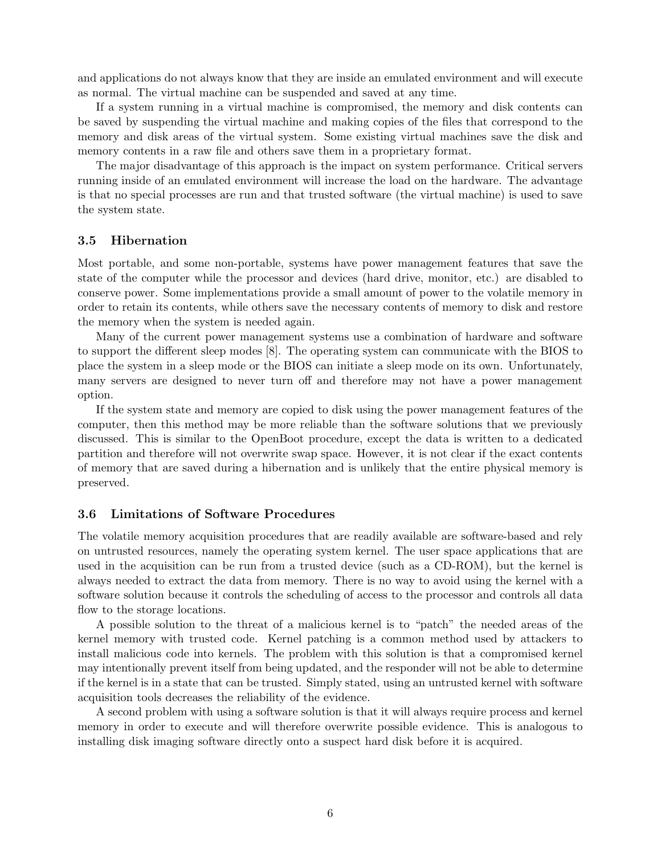and applications do not always know that they are inside an emulated environment and will execute as normal. The virtual machine can be suspended and saved at any time.

If a system running in a virtual machine is compromised, the memory and disk contents can be saved by suspending the virtual machine and making copies of the files that correspond to the memory and disk areas of the virtual system. Some existing virtual machines save the disk and memory contents in a raw file and others save them in a proprietary format.

The major disadvantage of this approach is the impact on system performance. Critical servers running inside of an emulated environment will increase the load on the hardware. The advantage is that no special processes are run and that trusted software (the virtual machine) is used to save the system state.

#### 3.5 Hibernation

Most portable, and some non-portable, systems have power management features that save the state of the computer while the processor and devices (hard drive, monitor, etc.) are disabled to conserve power. Some implementations provide a small amount of power to the volatile memory in order to retain its contents, while others save the necessary contents of memory to disk and restore the memory when the system is needed again.

Many of the current power management systems use a combination of hardware and software to support the different sleep modes [8]. The operating system can communicate with the BIOS to place the system in a sleep mode or the BIOS can initiate a sleep mode on its own. Unfortunately, many servers are designed to never turn off and therefore may not have a power management option.

If the system state and memory are copied to disk using the power management features of the computer, then this method may be more reliable than the software solutions that we previously discussed. This is similar to the OpenBoot procedure, except the data is written to a dedicated partition and therefore will not overwrite swap space. However, it is not clear if the exact contents of memory that are saved during a hibernation and is unlikely that the entire physical memory is preserved.

#### 3.6 Limitations of Software Procedures

The volatile memory acquisition procedures that are readily available are software-based and rely on untrusted resources, namely the operating system kernel. The user space applications that are used in the acquisition can be run from a trusted device (such as a CD-ROM), but the kernel is always needed to extract the data from memory. There is no way to avoid using the kernel with a software solution because it controls the scheduling of access to the processor and controls all data flow to the storage locations.

A possible solution to the threat of a malicious kernel is to "patch" the needed areas of the kernel memory with trusted code. Kernel patching is a common method used by attackers to install malicious code into kernels. The problem with this solution is that a compromised kernel may intentionally prevent itself from being updated, and the responder will not be able to determine if the kernel is in a state that can be trusted. Simply stated, using an untrusted kernel with software acquisition tools decreases the reliability of the evidence.

A second problem with using a software solution is that it will always require process and kernel memory in order to execute and will therefore overwrite possible evidence. This is analogous to installing disk imaging software directly onto a suspect hard disk before it is acquired.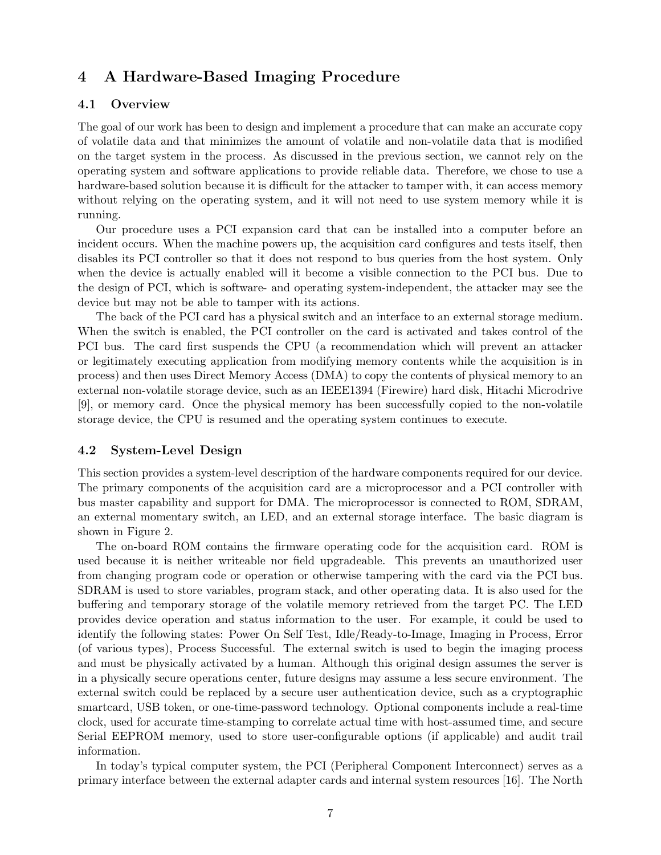# 4 A Hardware-Based Imaging Procedure

### 4.1 Overview

The goal of our work has been to design and implement a procedure that can make an accurate copy of volatile data and that minimizes the amount of volatile and non-volatile data that is modified on the target system in the process. As discussed in the previous section, we cannot rely on the operating system and software applications to provide reliable data. Therefore, we chose to use a hardware-based solution because it is difficult for the attacker to tamper with, it can access memory without relying on the operating system, and it will not need to use system memory while it is running.

Our procedure uses a PCI expansion card that can be installed into a computer before an incident occurs. When the machine powers up, the acquisition card configures and tests itself, then disables its PCI controller so that it does not respond to bus queries from the host system. Only when the device is actually enabled will it become a visible connection to the PCI bus. Due to the design of PCI, which is software- and operating system-independent, the attacker may see the device but may not be able to tamper with its actions.

The back of the PCI card has a physical switch and an interface to an external storage medium. When the switch is enabled, the PCI controller on the card is activated and takes control of the PCI bus. The card first suspends the CPU (a recommendation which will prevent an attacker or legitimately executing application from modifying memory contents while the acquisition is in process) and then uses Direct Memory Access (DMA) to copy the contents of physical memory to an external non-volatile storage device, such as an IEEE1394 (Firewire) hard disk, Hitachi Microdrive [9], or memory card. Once the physical memory has been successfully copied to the non-volatile storage device, the CPU is resumed and the operating system continues to execute.

#### 4.2 System-Level Design

This section provides a system-level description of the hardware components required for our device. The primary components of the acquisition card are a microprocessor and a PCI controller with bus master capability and support for DMA. The microprocessor is connected to ROM, SDRAM, an external momentary switch, an LED, and an external storage interface. The basic diagram is shown in Figure 2.

The on-board ROM contains the firmware operating code for the acquisition card. ROM is used because it is neither writeable nor field upgradeable. This prevents an unauthorized user from changing program code or operation or otherwise tampering with the card via the PCI bus. SDRAM is used to store variables, program stack, and other operating data. It is also used for the buffering and temporary storage of the volatile memory retrieved from the target PC. The LED provides device operation and status information to the user. For example, it could be used to identify the following states: Power On Self Test, Idle/Ready-to-Image, Imaging in Process, Error (of various types), Process Successful. The external switch is used to begin the imaging process and must be physically activated by a human. Although this original design assumes the server is in a physically secure operations center, future designs may assume a less secure environment. The external switch could be replaced by a secure user authentication device, such as a cryptographic smartcard, USB token, or one-time-password technology. Optional components include a real-time clock, used for accurate time-stamping to correlate actual time with host-assumed time, and secure Serial EEPROM memory, used to store user-configurable options (if applicable) and audit trail information.

In today's typical computer system, the PCI (Peripheral Component Interconnect) serves as a primary interface between the external adapter cards and internal system resources [16]. The North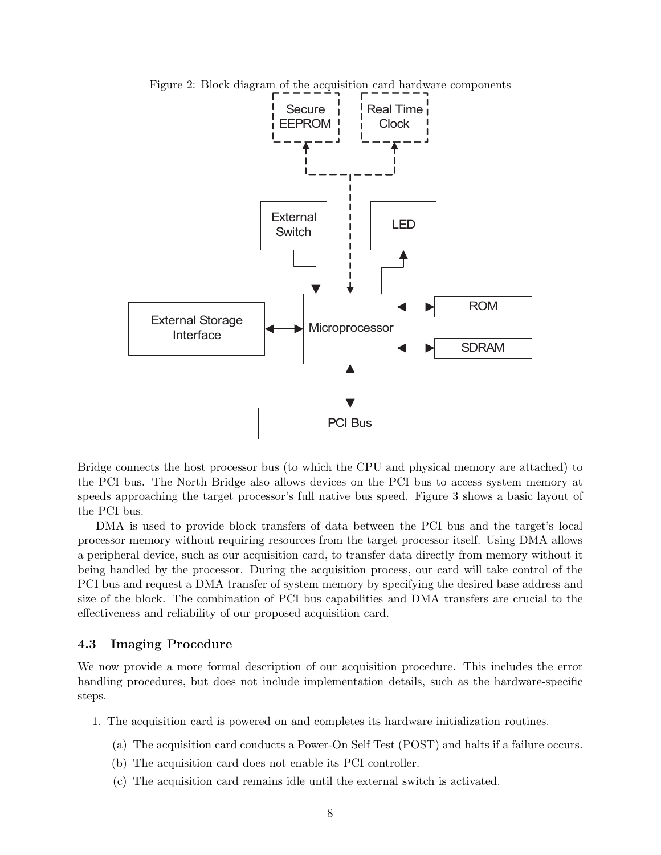

Figure 2: Block diagram of the acquisition card hardware components

Bridge connects the host processor bus (to which the CPU and physical memory are attached) to the PCI bus. The North Bridge also allows devices on the PCI bus to access system memory at speeds approaching the target processor's full native bus speed. Figure 3 shows a basic layout of the PCI bus.

DMA is used to provide block transfers of data between the PCI bus and the target's local processor memory without requiring resources from the target processor itself. Using DMA allows a peripheral device, such as our acquisition card, to transfer data directly from memory without it being handled by the processor. During the acquisition process, our card will take control of the PCI bus and request a DMA transfer of system memory by specifying the desired base address and size of the block. The combination of PCI bus capabilities and DMA transfers are crucial to the effectiveness and reliability of our proposed acquisition card.

#### 4.3 Imaging Procedure

We now provide a more formal description of our acquisition procedure. This includes the error handling procedures, but does not include implementation details, such as the hardware-specific steps.

- 1. The acquisition card is powered on and completes its hardware initialization routines.
	- (a) The acquisition card conducts a Power-On Self Test (POST) and halts if a failure occurs.
	- (b) The acquisition card does not enable its PCI controller.
	- (c) The acquisition card remains idle until the external switch is activated.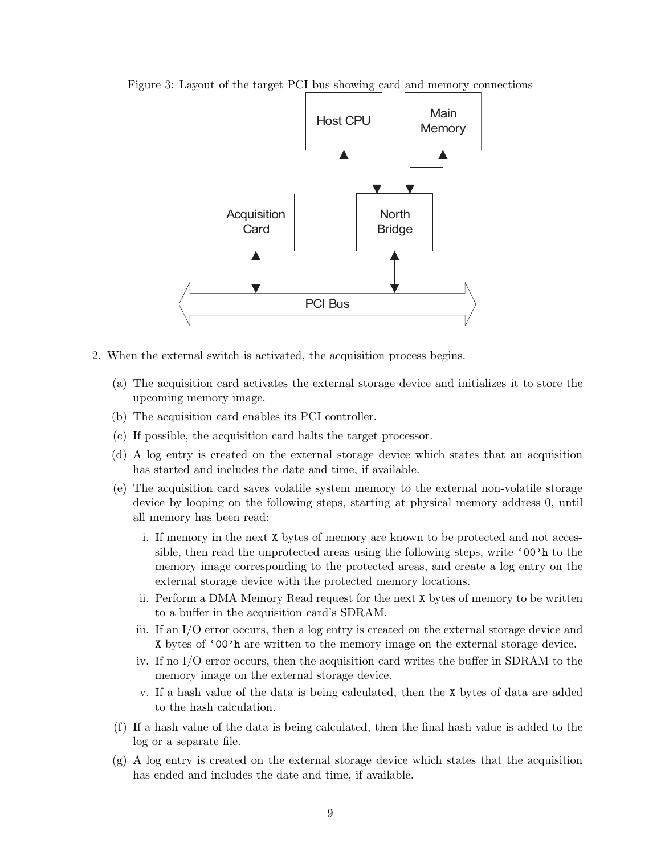Figure 3: Layout of the target PCI bus showing card and memory connections



- 2. When the external switch is activated, the acquisition process begins.
	- (a) The acquisition card activates the external storage device and initializes it to store the upcoming memory image.
	- (b) The acquisition card enables its PCI controller.
	- (c) If possible, the acquisition card halts the target processor.
	- (d) A log entry is created on the external storage device which states that an acquisition has started and includes the date and time, if available.
	- (e) The acquisition card saves volatile system memory to the external non-volatile storage device by looping on the following steps, starting at physical memory address 0, until all memory has been read:
		- i. If memory in the next X bytes of memory are known to be protected and not accessible, then read the unprotected areas using the following steps, write '00'h to the memory image corresponding to the protected areas, and create a log entry on the external storage device with the protected memory locations.
		- ii. Perform a DMA Memory Read request for the next X bytes of memory to be written to a buffer in the acquisition card's SDRAM.
		- iii. If an I/O error occurs, then a log entry is created on the external storage device and X bytes of '00'h are written to the memory image on the external storage device.
		- iv. If no I/O error occurs, then the acquisition card writes the buffer in SDRAM to the memory image on the external storage device.
		- v. If a hash value of the data is being calculated, then the X bytes of data are added to the hash calculation.
	- (f) If a hash value of the data is being calculated, then the final hash value is added to the log or a separate file.
	- (g) A log entry is created on the external storage device which states that the acquisition has ended and includes the date and time, if available.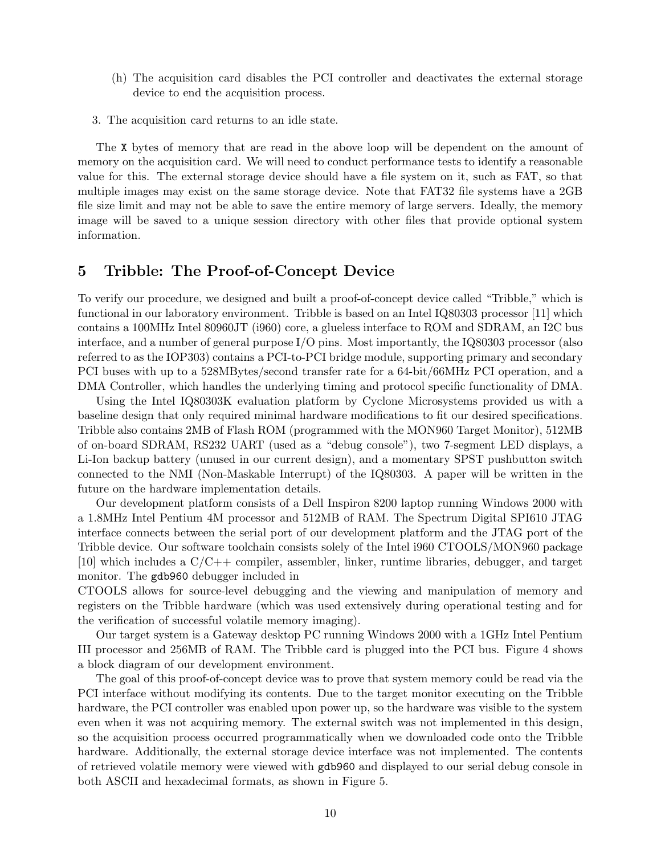- (h) The acquisition card disables the PCI controller and deactivates the external storage device to end the acquisition process.
- 3. The acquisition card returns to an idle state.

The X bytes of memory that are read in the above loop will be dependent on the amount of memory on the acquisition card. We will need to conduct performance tests to identify a reasonable value for this. The external storage device should have a file system on it, such as FAT, so that multiple images may exist on the same storage device. Note that FAT32 file systems have a 2GB file size limit and may not be able to save the entire memory of large servers. Ideally, the memory image will be saved to a unique session directory with other files that provide optional system information.

## 5 Tribble: The Proof-of-Concept Device

To verify our procedure, we designed and built a proof-of-concept device called "Tribble," which is functional in our laboratory environment. Tribble is based on an Intel IQ80303 processor [11] which contains a 100MHz Intel 80960JT (i960) core, a glueless interface to ROM and SDRAM, an I2C bus interface, and a number of general purpose I/O pins. Most importantly, the IQ80303 processor (also referred to as the IOP303) contains a PCI-to-PCI bridge module, supporting primary and secondary PCI buses with up to a 528MBytes/second transfer rate for a 64-bit/66MHz PCI operation, and a DMA Controller, which handles the underlying timing and protocol specific functionality of DMA.

Using the Intel IQ80303K evaluation platform by Cyclone Microsystems provided us with a baseline design that only required minimal hardware modifications to fit our desired specifications. Tribble also contains 2MB of Flash ROM (programmed with the MON960 Target Monitor), 512MB of on-board SDRAM, RS232 UART (used as a "debug console"), two 7-segment LED displays, a Li-Ion backup battery (unused in our current design), and a momentary SPST pushbutton switch connected to the NMI (Non-Maskable Interrupt) of the IQ80303. A paper will be written in the future on the hardware implementation details.

Our development platform consists of a Dell Inspiron 8200 laptop running Windows 2000 with a 1.8MHz Intel Pentium 4M processor and 512MB of RAM. The Spectrum Digital SPI610 JTAG interface connects between the serial port of our development platform and the JTAG port of the Tribble device. Our software toolchain consists solely of the Intel i960 CTOOLS/MON960 package [10] which includes a C/C++ compiler, assembler, linker, runtime libraries, debugger, and target monitor. The gdb960 debugger included in

CTOOLS allows for source-level debugging and the viewing and manipulation of memory and registers on the Tribble hardware (which was used extensively during operational testing and for the verification of successful volatile memory imaging).

Our target system is a Gateway desktop PC running Windows 2000 with a 1GHz Intel Pentium III processor and 256MB of RAM. The Tribble card is plugged into the PCI bus. Figure 4 shows a block diagram of our development environment.

The goal of this proof-of-concept device was to prove that system memory could be read via the PCI interface without modifying its contents. Due to the target monitor executing on the Tribble hardware, the PCI controller was enabled upon power up, so the hardware was visible to the system even when it was not acquiring memory. The external switch was not implemented in this design, so the acquisition process occurred programmatically when we downloaded code onto the Tribble hardware. Additionally, the external storage device interface was not implemented. The contents of retrieved volatile memory were viewed with gdb960 and displayed to our serial debug console in both ASCII and hexadecimal formats, as shown in Figure 5.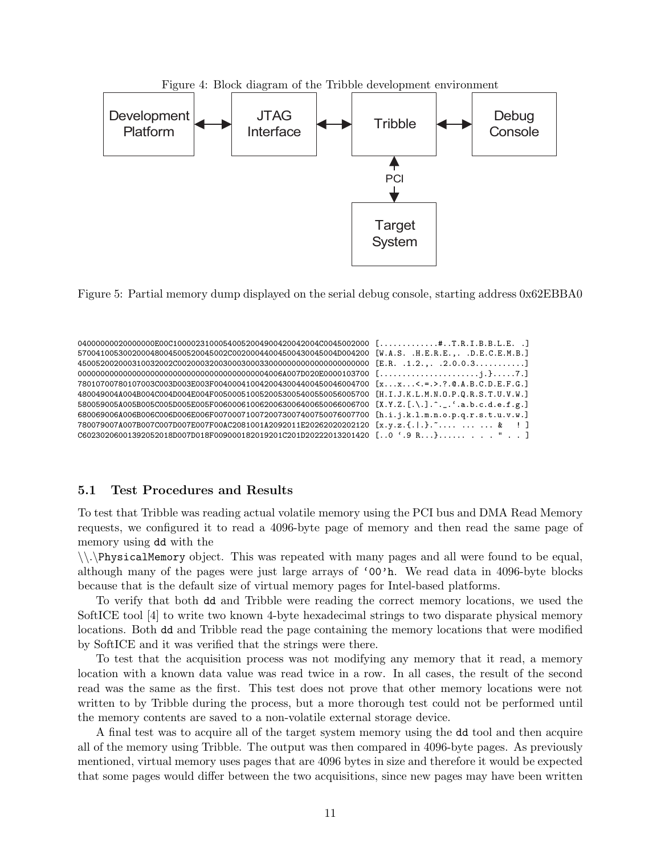

Figure 5: Partial memory dump displayed on the serial debug console, starting address 0x62EBBA0

| 04000000200000000E00C10000231000540052004900420042004C0045002000                        |                                              |
|-----------------------------------------------------------------------------------------|----------------------------------------------|
| 570041005300200048004500520045002C00200044004500430045004D004200                        | [W.A.S. .H.E.R.E. D.E.C.E.M.B.]              |
|                                                                                         | $[E.R. .1.2.,2.0.0.3.]$                      |
|                                                                                         | $[;].}7.]$                                   |
| 78010700780107003C003D003E003F0040004100420043004400450046004700                        | $[xx<-2]^2$ . Q.A.B.C.D.E.F.G.               |
| 480049004A004B004C004D004E004F0050005100520053005400550056005700                        | [H.I.J.K.L.M.N.0.P.0.R.S.T.U.V.W.]           |
| 580059005A005B005C005D005E005F0060006100620063006400650066006700                        | $[X.Y.Z.[.\.\,.].\hat{-.}.'.a.b.c.d.e.f.g.]$ |
| 680069006A006B006C006D006E006F0070007100720073007400750076007700                        | [h.i.j.k.l.m.n.o.p.q.r.s.t.u.v.w.]           |
| 780079007A007B007C007D007E007F00AC2081001A2092011E20262020202120 [x.y.z.{. .}.~ & !]    |                                              |
| $C60230206001392052018D007D018F009000182019201C201D20222013201420$ [0 '.9 R} $\ldots$ ] |                                              |

#### 5.1 Test Procedures and Results

To test that Tribble was reading actual volatile memory using the PCI bus and DMA Read Memory requests, we configured it to read a 4096-byte page of memory and then read the same page of memory using dd with the

 $\setminus\setminus\$ PhysicalMemory object. This was repeated with many pages and all were found to be equal, although many of the pages were just large arrays of '00'h. We read data in 4096-byte blocks because that is the default size of virtual memory pages for Intel-based platforms.

To verify that both dd and Tribble were reading the correct memory locations, we used the SoftICE tool [4] to write two known 4-byte hexadecimal strings to two disparate physical memory locations. Both dd and Tribble read the page containing the memory locations that were modified by SoftICE and it was verified that the strings were there.

To test that the acquisition process was not modifying any memory that it read, a memory location with a known data value was read twice in a row. In all cases, the result of the second read was the same as the first. This test does not prove that other memory locations were not written to by Tribble during the process, but a more thorough test could not be performed until the memory contents are saved to a non-volatile external storage device.

A final test was to acquire all of the target system memory using the dd tool and then acquire all of the memory using Tribble. The output was then compared in 4096-byte pages. As previously mentioned, virtual memory uses pages that are 4096 bytes in size and therefore it would be expected that some pages would differ between the two acquisitions, since new pages may have been written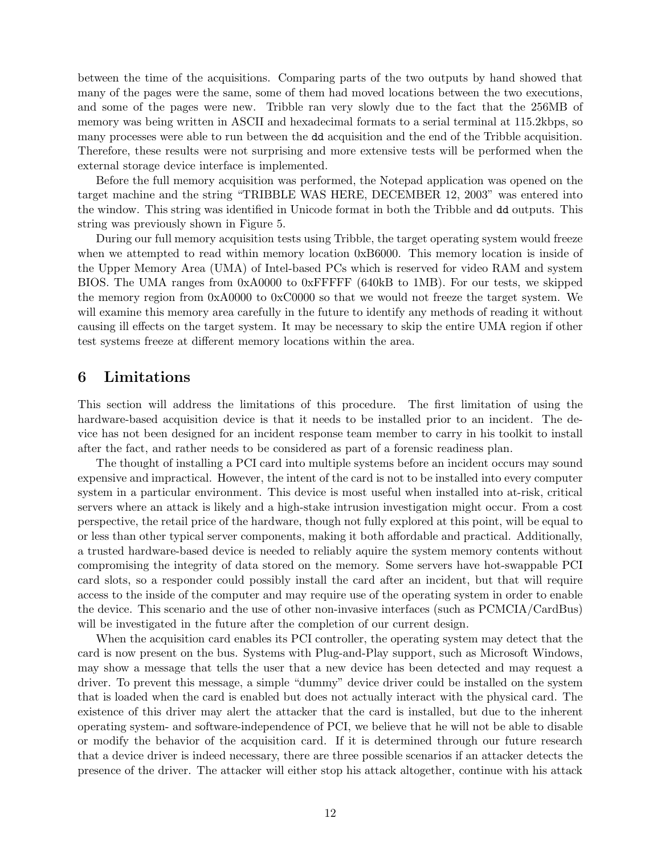between the time of the acquisitions. Comparing parts of the two outputs by hand showed that many of the pages were the same, some of them had moved locations between the two executions, and some of the pages were new. Tribble ran very slowly due to the fact that the 256MB of memory was being written in ASCII and hexadecimal formats to a serial terminal at 115.2kbps, so many processes were able to run between the dd acquisition and the end of the Tribble acquisition. Therefore, these results were not surprising and more extensive tests will be performed when the external storage device interface is implemented.

Before the full memory acquisition was performed, the Notepad application was opened on the target machine and the string "TRIBBLE WAS HERE, DECEMBER 12, 2003" was entered into the window. This string was identified in Unicode format in both the Tribble and dd outputs. This string was previously shown in Figure 5.

During our full memory acquisition tests using Tribble, the target operating system would freeze when we attempted to read within memory location 0xB6000. This memory location is inside of the Upper Memory Area (UMA) of Intel-based PCs which is reserved for video RAM and system BIOS. The UMA ranges from 0xA0000 to 0xFFFFF (640kB to 1MB). For our tests, we skipped the memory region from 0xA0000 to 0xC0000 so that we would not freeze the target system. We will examine this memory area carefully in the future to identify any methods of reading it without causing ill effects on the target system. It may be necessary to skip the entire UMA region if other test systems freeze at different memory locations within the area.

# 6 Limitations

This section will address the limitations of this procedure. The first limitation of using the hardware-based acquisition device is that it needs to be installed prior to an incident. The device has not been designed for an incident response team member to carry in his toolkit to install after the fact, and rather needs to be considered as part of a forensic readiness plan.

The thought of installing a PCI card into multiple systems before an incident occurs may sound expensive and impractical. However, the intent of the card is not to be installed into every computer system in a particular environment. This device is most useful when installed into at-risk, critical servers where an attack is likely and a high-stake intrusion investigation might occur. From a cost perspective, the retail price of the hardware, though not fully explored at this point, will be equal to or less than other typical server components, making it both affordable and practical. Additionally, a trusted hardware-based device is needed to reliably aquire the system memory contents without compromising the integrity of data stored on the memory. Some servers have hot-swappable PCI card slots, so a responder could possibly install the card after an incident, but that will require access to the inside of the computer and may require use of the operating system in order to enable the device. This scenario and the use of other non-invasive interfaces (such as PCMCIA/CardBus) will be investigated in the future after the completion of our current design.

When the acquisition card enables its PCI controller, the operating system may detect that the card is now present on the bus. Systems with Plug-and-Play support, such as Microsoft Windows, may show a message that tells the user that a new device has been detected and may request a driver. To prevent this message, a simple "dummy" device driver could be installed on the system that is loaded when the card is enabled but does not actually interact with the physical card. The existence of this driver may alert the attacker that the card is installed, but due to the inherent operating system- and software-independence of PCI, we believe that he will not be able to disable or modify the behavior of the acquisition card. If it is determined through our future research that a device driver is indeed necessary, there are three possible scenarios if an attacker detects the presence of the driver. The attacker will either stop his attack altogether, continue with his attack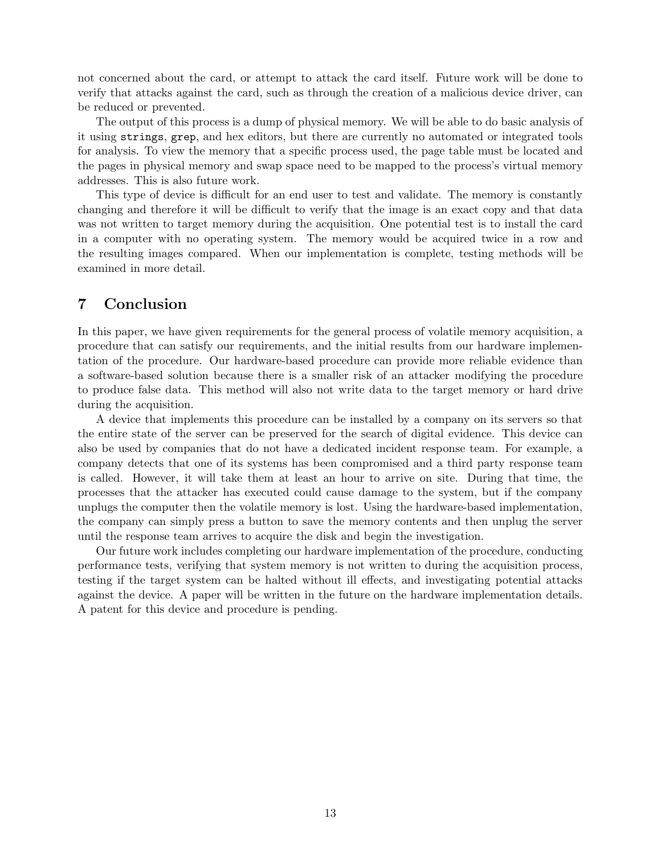not concerned about the card, or attempt to attack the card itself. Future work will be done to verify that attacks against the card, such as through the creation of a malicious device driver, can be reduced or prevented.

The output of this process is a dump of physical memory. We will be able to do basic analysis of it using strings, grep, and hex editors, but there are currently no automated or integrated tools for analysis. To view the memory that a specific process used, the page table must be located and the pages in physical memory and swap space need to be mapped to the process's virtual memory addresses. This is also future work.

This type of device is difficult for an end user to test and validate. The memory is constantly changing and therefore it will be difficult to verify that the image is an exact copy and that data was not written to target memory during the acquisition. One potential test is to install the card in a computer with no operating system. The memory would be acquired twice in a row and the resulting images compared. When our implementation is complete, testing methods will be examined in more detail.

# 7 Conclusion

In this paper, we have given requirements for the general process of volatile memory acquisition, a procedure that can satisfy our requirements, and the initial results from our hardware implementation of the procedure. Our hardware-based procedure can provide more reliable evidence than a software-based solution because there is a smaller risk of an attacker modifying the procedure to produce false data. This method will also not write data to the target memory or hard drive during the acquisition.

A device that implements this procedure can be installed by a company on its servers so that the entire state of the server can be preserved for the search of digital evidence. This device can also be used by companies that do not have a dedicated incident response team. For example, a company detects that one of its systems has been compromised and a third party response team is called. However, it will take them at least an hour to arrive on site. During that time, the processes that the attacker has executed could cause damage to the system, but if the company unplugs the computer then the volatile memory is lost. Using the hardware-based implementation, the company can simply press a button to save the memory contents and then unplug the server until the response team arrives to acquire the disk and begin the investigation.

Our future work includes completing our hardware implementation of the procedure, conducting performance tests, verifying that system memory is not written to during the acquisition process, testing if the target system can be halted without ill effects, and investigating potential attacks against the device. A paper will be written in the future on the hardware implementation details. A patent for this device and procedure is pending.